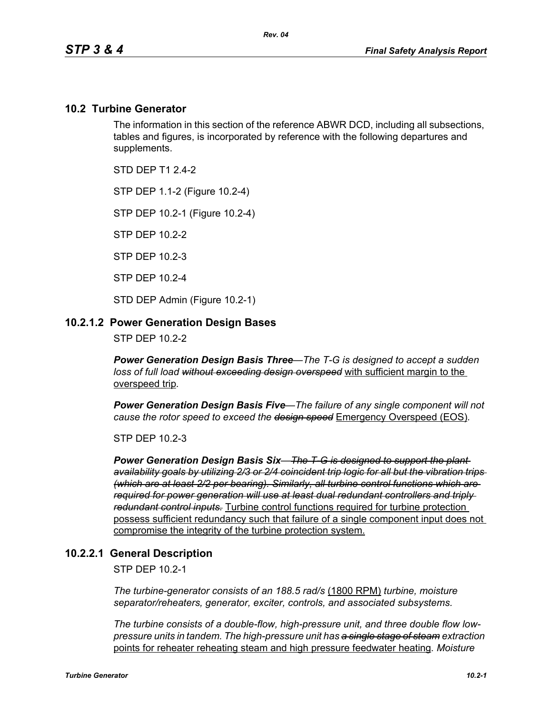### **10.2 Turbine Generator**

The information in this section of the reference ABWR DCD, including all subsections, tables and figures, is incorporated by reference with the following departures and supplements.

STD DFP T1 2 4-2

STP DEP 1.1-2 (Figure 10.2-4)

STP DEP 10.2-1 (Figure 10.2-4)

STP DEP 10.2-2

STP DEP 10.2-3

STP DEP 10.2-4

STD DEP Admin (Figure 10.2-1)

### **10.2.1.2 Power Generation Design Bases**

STP DEP 10.2-2

*Power Generation Design Basis Three—The T-G is designed to accept a sudden loss of full load without exceeding design overspeed* with sufficient margin to the overspeed trip*.* 

*Power Generation Design Basis Five—The failure of any single component will not cause the rotor speed to exceed the design speed* Emergency Overspeed (EOS)*.* 

STP DEP 10.2-3

*Power Generation Design Basis Six—The T-G is designed to support the plant availability goals by utilizing 2/3 or 2/4 coincident trip logic for all but the vibration trips (which are at least 2/2 per bearing). Similarly, all turbine control functions which are required for power generation will use at least dual redundant controllers and triply redundant control inputs.* Turbine control functions required for turbine protection possess sufficient redundancy such that failure of a single component input does not compromise the integrity of the turbine protection system.

### **10.2.2.1 General Description**

STP DEP 10.2-1

*The turbine-generator consists of an 188.5 rad/s* (1800 RPM) *turbine, moisture separator/reheaters, generator, exciter, controls, and associated subsystems.*

*The turbine consists of a double-flow, high-pressure unit, and three double flow lowpressure units in tandem. The high-pressure unit has a single stage of steam extraction*  points for reheater reheating steam and high pressure feedwater heating*. Moisture*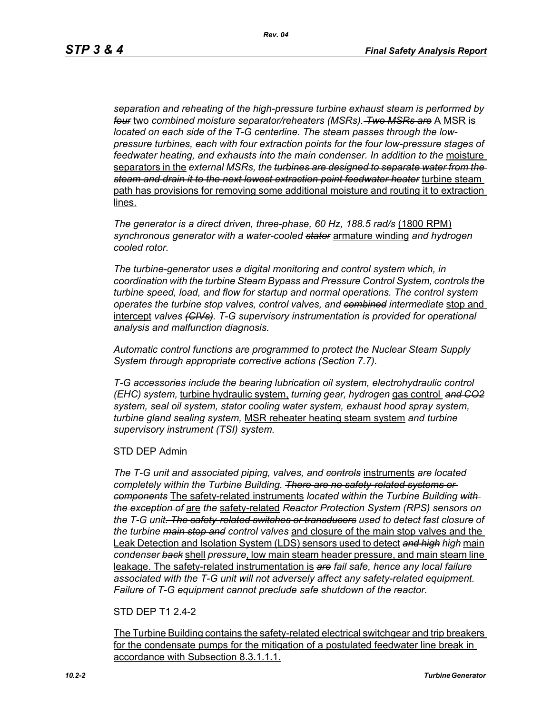*separation and reheating of the high-pressure turbine exhaust steam is performed by four* two *combined moisture separator/reheaters (MSRs). Two MSRs are* A MSR is *located on each side of the T-G centerline. The steam passes through the lowpressure turbines, each with four extraction points for the four low-pressure stages of feedwater heating, and exhausts into the main condenser. In addition to the* moisture separators in the *external MSRs, the turbines are designed to separate water from the steam and drain it to the next lowest extraction point feedwater heater* turbine steam path has provisions for removing some additional moisture and routing it to extraction lines.

*The generator is a direct driven, three-phase, 60 Hz, 188.5 rad/s* (1800 RPM) *synchronous generator with a water-cooled stator* armature winding *and hydrogen cooled rotor.*

*The turbine-generator uses a digital monitoring and control system which, in coordination with the turbine Steam Bypass and Pressure Control System, controls the turbine speed, load, and flow for startup and normal operations. The control system operates the turbine stop valves, control valves, and combined intermediate* stop and intercept *valves (CIVs). T-G supervisory instrumentation is provided for operational analysis and malfunction diagnosis.*

*Automatic control functions are programmed to protect the Nuclear Steam Supply System through appropriate corrective actions (Section 7.7).*

*T-G accessories include the bearing lubrication oil system, electrohydraulic control (EHC) system,* turbine hydraulic system, *turning gear, hydrogen* gas control *and CO2 system, seal oil system, stator cooling water system, exhaust hood spray system, turbine gland sealing system,* MSR reheater heating steam system *and turbine supervisory instrument (TSI) system.*

#### STD DEP Admin

*The T-G unit and associated piping, valves, and controls* instruments *are located completely within the Turbine Building. There are no safety-related systems or components* The safety-related instruments *located within the Turbine Building with the exception of* are *the* safety-related *Reactor Protection System (RPS) sensors on the T-G unit. The safety-related switches or transducers used to detect fast closure of the turbine main stop and control valves* and closure of the main stop valves and the Leak Detection and Isolation System (LDS) sensors used to detect *and high high* main *condenser back* shell *pressure*, low main steam header pressure, and main steam line leakage. The safety-related instrumentation is *are fail safe, hence any local failure associated with the T-G unit will not adversely affect any safety-related equipment. Failure of T-G equipment cannot preclude safe shutdown of the reactor.*

### STD DEP T1 2.4-2

The Turbine Building contains the safety-related electrical switchgear and trip breakers for the condensate pumps for the mitigation of a postulated feedwater line break in accordance with Subsection 8.3.1.1.1.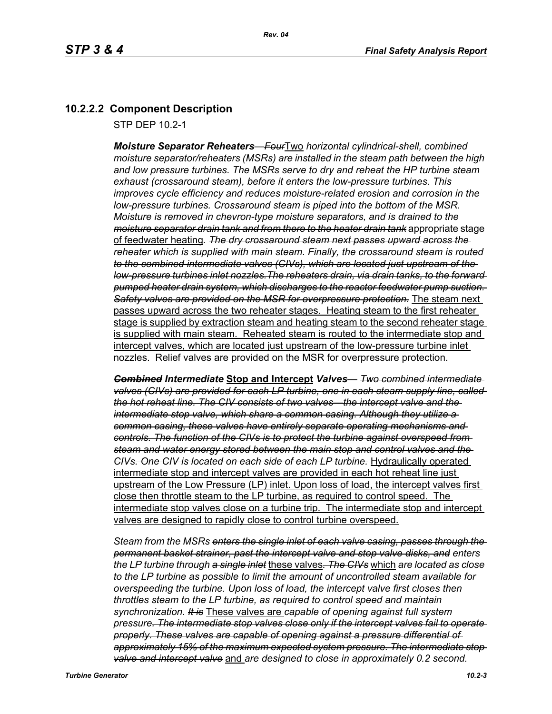# **10.2.2.2 Component Description**

STP DEP 10.2-1

*Moisture Separator Reheaters—Four*Two *horizontal cylindrical-shell, combined moisture separator/reheaters (MSRs) are installed in the steam path between the high and low pressure turbines. The MSRs serve to dry and reheat the HP turbine steam exhaust (crossaround steam), before it enters the low-pressure turbines. This improves cycle efficiency and reduces moisture-related erosion and corrosion in the low-pressure turbines. Crossaround steam is piped into the bottom of the MSR. Moisture is removed in chevron-type moisture separators, and is drained to the moisture separator drain tank and from there to the heater drain tank* appropriate stage of feedwater heating*. The dry crossaround steam next passes upward across the reheater which is supplied with main steam. Finally, the crossaround steam is routed to the combined intermediate valves (CIVs), which are located just upstream of the low-pressure turbines inlet nozzles.The reheaters drain, via drain tanks, to the forward pumped heater drain system, which discharges to the reactor feedwater pump suction. Safety valves are provided on the MSR for overpressure protection.* The steam next passes upward across the two reheater stages. Heating steam to the first reheater stage is supplied by extraction steam and heating steam to the second reheater stage is supplied with main steam. Reheated steam is routed to the intermediate stop and intercept valves, which are located just upstream of the low-pressure turbine inlet nozzles. Relief valves are provided on the MSR for overpressure protection.

*Combined Intermediate* **Stop and Intercept** *Valves— Two combined intermediate valves (CIVs) are provided for each LP turbine, one in each steam supply line, called the hot reheat line. The CIV consists of two valves—the intercept valve and the intermediate stop valve, which share a common casing. Although they utilize a common casing, these valves have entirely separate operating mechanisms and controls. The function of the CIVs is to protect the turbine against overspeed from steam and water energy stored between the main stop and control valves and the CIVs. One CIV is located on each side of each LP turbine.* Hydraulically operated intermediate stop and intercept valves are provided in each hot reheat line just upstream of the Low Pressure (LP) inlet. Upon loss of load, the intercept valves first close then throttle steam to the LP turbine, as required to control speed. The intermediate stop valves close on a turbine trip. The intermediate stop and intercept valves are designed to rapidly close to control turbine overspeed.

*Steam from the MSRs enters the single inlet of each valve casing, passes through the permanent basket strainer, past the intercept valve and stop valve disks, and enters the LP turbine through a single inlet* these valves*. The CIVs* which *are located as close to the LP turbine as possible to limit the amount of uncontrolled steam available for overspeeding the turbine. Upon loss of load, the intercept valve first closes then throttles steam to the LP turbine, as required to control speed and maintain synchronization. It is* These valves are *capable of opening against full system pressure. The intermediate stop valves close only if the intercept valves fail to operate properly. These valves are capable of opening against a pressure differential of approximately 15% of the maximum expected system pressure. The intermediate stop valve and intercept valve* and *are designed to close in approximately 0.2 second.*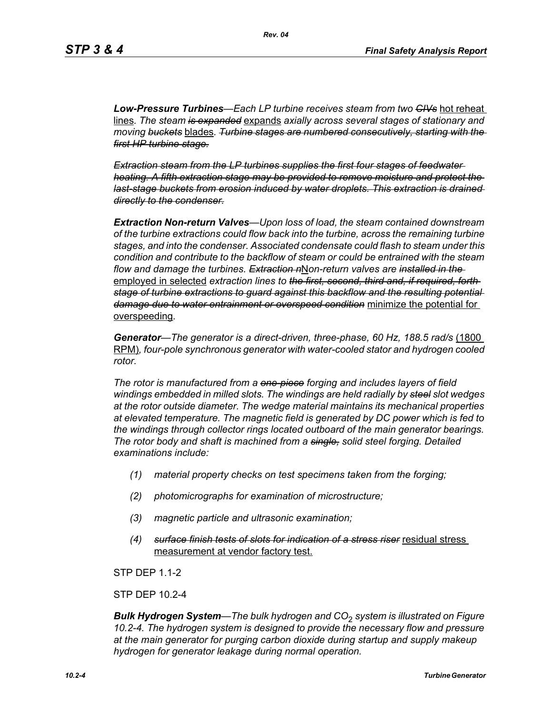*Low-Pressure Turbines—Each LP turbine receives steam from two CIVs* hot reheat lines*. The steam is expanded* expands *axially across several stages of stationary and moving buckets* blades*. Turbine stages are numbered consecutively, starting with the first HP turbine stage.*

*Extraction steam from the LP turbines supplies the first four stages of feedwater heating. A fifth extraction stage may be provided to remove moisture and protect the last-stage buckets from erosion induced by water droplets. This extraction is drained directly to the condenser.*

*Extraction Non-return Valves—Upon loss of load, the steam contained downstream of the turbine extractions could flow back into the turbine, across the remaining turbine stages, and into the condenser. Associated condensate could flash to steam under this condition and contribute to the backflow of steam or could be entrained with the steam flow and damage the turbines. Extraction n*N*on-return valves are installed in the*  employed in selected *extraction lines to the first, second, third and, if required, forth stage of turbine extractions to guard against this backflow and the resulting potential damage due to water entrainment or overspeed condition* minimize the potential for overspeeding*.*

*Generator—The generator is a direct-driven, three-phase, 60 Hz, 188.5 rad/s* (1800 RPM)*, four-pole synchronous generator with water-cooled stator and hydrogen cooled rotor.*

*The rotor is manufactured from a one-piece forging and includes layers of field windings embedded in milled slots. The windings are held radially by steel slot wedges at the rotor outside diameter. The wedge material maintains its mechanical properties at elevated temperature. The magnetic field is generated by DC power which is fed to the windings through collector rings located outboard of the main generator bearings. The rotor body and shaft is machined from a single, solid steel forging. Detailed examinations include:* 

- *(1) material property checks on test specimens taken from the forging;*
- *(2) photomicrographs for examination of microstructure;*
- *(3) magnetic particle and ultrasonic examination;*
- *(4) surface finish tests of slots for indication of a stress riser* residual stress measurement at vendor factory test.

**STP DFP 1 1-2** 

STP DEP 10.2-4

*Bulk Hydrogen System—The bulk hydrogen and CO*2 *system is illustrated on Figure 10.2-4. The hydrogen system is designed to provide the necessary flow and pressure at the main generator for purging carbon dioxide during startup and supply makeup hydrogen for generator leakage during normal operation.*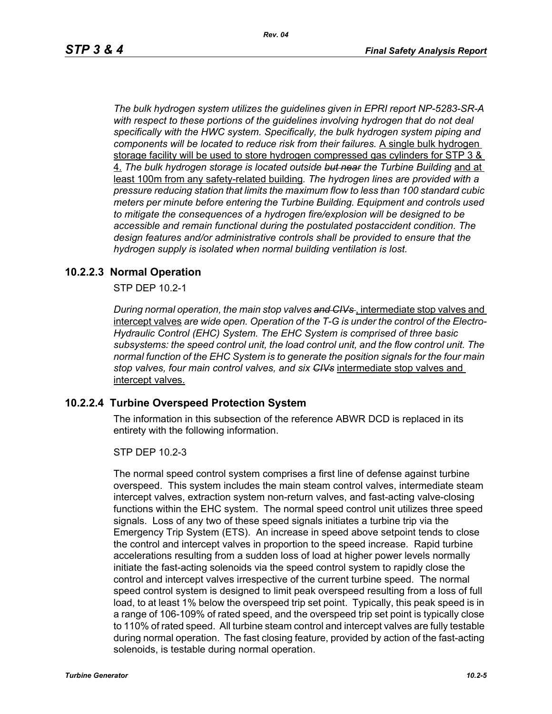*The bulk hydrogen system utilizes the guidelines given in EPRI report NP-5283-SR-A*  with respect to these portions of the guidelines involving hydrogen that do not deal *specifically with the HWC system. Specifically, the bulk hydrogen system piping and components will be located to reduce risk from their failures.* A single bulk hydrogen storage facility will be used to store hydrogen compressed gas cylinders for STP 3 & 4. *The bulk hydrogen storage is located outside but near the Turbine Building* and at least 100m from any safety-related building*. The hydrogen lines are provided with a pressure reducing station that limits the maximum flow to less than 100 standard cubic meters per minute before entering the Turbine Building. Equipment and controls used to mitigate the consequences of a hydrogen fire/explosion will be designed to be accessible and remain functional during the postulated postaccident condition. The design features and/or administrative controls shall be provided to ensure that the hydrogen supply is isolated when normal building ventilation is lost.*

### **10.2.2.3 Normal Operation**

STP DEP 10.2-1

*During normal operation, the main stop valves and CIVs* , intermediate stop valves and intercept valves *are wide open. Operation of the T-G is under the control of the Electro-Hydraulic Control (EHC) System. The EHC System is comprised of three basic subsystems: the speed control unit, the load control unit, and the flow control unit. The normal function of the EHC System is to generate the position signals for the four main stop valves, four main control valves, and six CIVs* intermediate stop valves and intercept valves.

### **10.2.2.4 Turbine Overspeed Protection System**

The information in this subsection of the reference ABWR DCD is replaced in its entirety with the following information.

STP DEP 10.2-3

The normal speed control system comprises a first line of defense against turbine overspeed. This system includes the main steam control valves, intermediate steam intercept valves, extraction system non-return valves, and fast-acting valve-closing functions within the EHC system. The normal speed control unit utilizes three speed signals. Loss of any two of these speed signals initiates a turbine trip via the Emergency Trip System (ETS). An increase in speed above setpoint tends to close the control and intercept valves in proportion to the speed increase. Rapid turbine accelerations resulting from a sudden loss of load at higher power levels normally initiate the fast-acting solenoids via the speed control system to rapidly close the control and intercept valves irrespective of the current turbine speed. The normal speed control system is designed to limit peak overspeed resulting from a loss of full load, to at least 1% below the overspeed trip set point. Typically, this peak speed is in a range of 106-109% of rated speed, and the overspeed trip set point is typically close to 110% of rated speed. All turbine steam control and intercept valves are fully testable during normal operation. The fast closing feature, provided by action of the fast-acting solenoids, is testable during normal operation.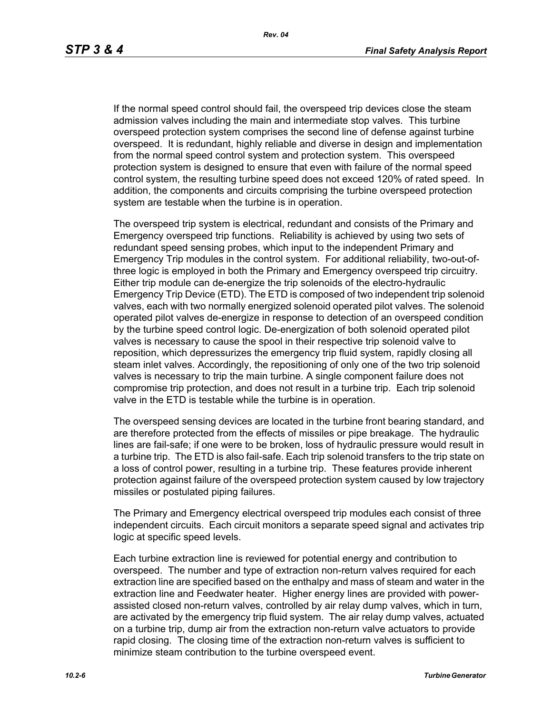If the normal speed control should fail, the overspeed trip devices close the steam admission valves including the main and intermediate stop valves. This turbine overspeed protection system comprises the second line of defense against turbine overspeed. It is redundant, highly reliable and diverse in design and implementation from the normal speed control system and protection system. This overspeed protection system is designed to ensure that even with failure of the normal speed control system, the resulting turbine speed does not exceed 120% of rated speed. In addition, the components and circuits comprising the turbine overspeed protection system are testable when the turbine is in operation.

The overspeed trip system is electrical, redundant and consists of the Primary and Emergency overspeed trip functions. Reliability is achieved by using two sets of redundant speed sensing probes, which input to the independent Primary and Emergency Trip modules in the control system. For additional reliability, two-out-ofthree logic is employed in both the Primary and Emergency overspeed trip circuitry. Either trip module can de-energize the trip solenoids of the electro-hydraulic Emergency Trip Device (ETD). The ETD is composed of two independent trip solenoid valves, each with two normally energized solenoid operated pilot valves. The solenoid operated pilot valves de-energize in response to detection of an overspeed condition by the turbine speed control logic. De-energization of both solenoid operated pilot valves is necessary to cause the spool in their respective trip solenoid valve to reposition, which depressurizes the emergency trip fluid system, rapidly closing all steam inlet valves. Accordingly, the repositioning of only one of the two trip solenoid valves is necessary to trip the main turbine. A single component failure does not compromise trip protection, and does not result in a turbine trip. Each trip solenoid valve in the ETD is testable while the turbine is in operation.

The overspeed sensing devices are located in the turbine front bearing standard, and are therefore protected from the effects of missiles or pipe breakage. The hydraulic lines are fail-safe; if one were to be broken, loss of hydraulic pressure would result in a turbine trip. The ETD is also fail-safe. Each trip solenoid transfers to the trip state on a loss of control power, resulting in a turbine trip. These features provide inherent protection against failure of the overspeed protection system caused by low trajectory missiles or postulated piping failures.

The Primary and Emergency electrical overspeed trip modules each consist of three independent circuits. Each circuit monitors a separate speed signal and activates trip logic at specific speed levels.

Each turbine extraction line is reviewed for potential energy and contribution to overspeed. The number and type of extraction non-return valves required for each extraction line are specified based on the enthalpy and mass of steam and water in the extraction line and Feedwater heater. Higher energy lines are provided with powerassisted closed non-return valves, controlled by air relay dump valves, which in turn, are activated by the emergency trip fluid system. The air relay dump valves, actuated on a turbine trip, dump air from the extraction non-return valve actuators to provide rapid closing. The closing time of the extraction non-return valves is sufficient to minimize steam contribution to the turbine overspeed event.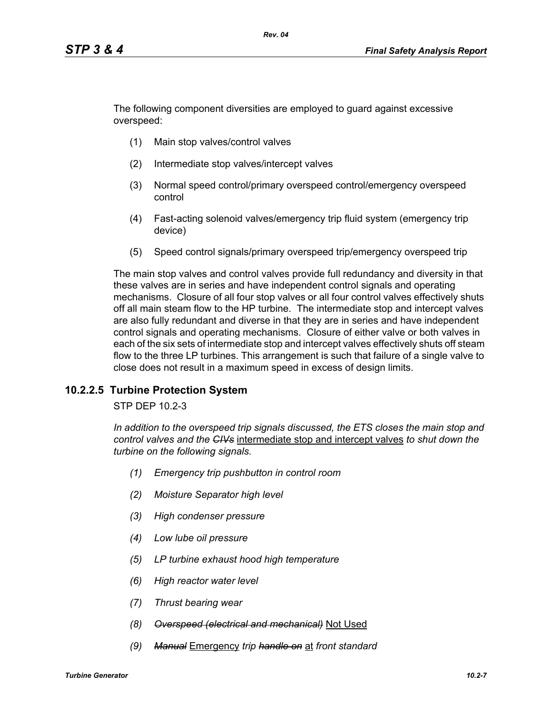The following component diversities are employed to guard against excessive overspeed:

- (1) Main stop valves/control valves
- (2) Intermediate stop valves/intercept valves
- (3) Normal speed control/primary overspeed control/emergency overspeed control
- (4) Fast-acting solenoid valves/emergency trip fluid system (emergency trip device)
- (5) Speed control signals/primary overspeed trip/emergency overspeed trip

The main stop valves and control valves provide full redundancy and diversity in that these valves are in series and have independent control signals and operating mechanisms. Closure of all four stop valves or all four control valves effectively shuts off all main steam flow to the HP turbine. The intermediate stop and intercept valves are also fully redundant and diverse in that they are in series and have independent control signals and operating mechanisms. Closure of either valve or both valves in each of the six sets of intermediate stop and intercept valves effectively shuts off steam flow to the three LP turbines. This arrangement is such that failure of a single valve to close does not result in a maximum speed in excess of design limits.

### **10.2.2.5 Turbine Protection System**

STP DEP 10.2-3

*In addition to the overspeed trip signals discussed, the ETS closes the main stop and control valves and the CIVs* intermediate stop and intercept valves *to shut down the turbine on the following signals.*

- *(1) Emergency trip pushbutton in control room*
- *(2) Moisture Separator high level*
- *(3) High condenser pressure*
- *(4) Low lube oil pressure*
- *(5) LP turbine exhaust hood high temperature*
- *(6) High reactor water level*
- *(7) Thrust bearing wear*
- *(8) Overspeed (electrical and mechanical)* Not Used
- *(9) Manual* Emergency *trip handle on* at *front standard*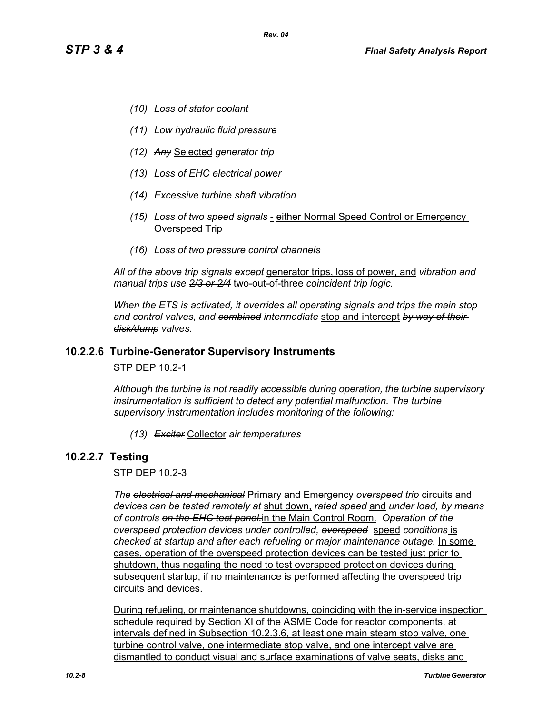- *(10) Loss of stator coolant*
- *(11) Low hydraulic fluid pressure*
- *(12) Any* Selected *generator trip*
- *(13) Loss of EHC electrical power*
- *(14) Excessive turbine shaft vibration*
- *(15) Loss of two speed signals*  either Normal Speed Control or Emergency Overspeed Trip
- *(16) Loss of two pressure control channels*

*All of the above trip signals except* generator trips, loss of power, and *vibration and manual trips use 2/3 or 2/4* two-out-of-three *coincident trip logic.*

*When the ETS is activated, it overrides all operating signals and trips the main stop and control valves, and combined intermediate* stop and intercept *by way of their disk/dump valves.*

#### **10.2.2.6 Turbine-Generator Supervisory Instruments**

STP DEP 10.2-1

*Although the turbine is not readily accessible during operation, the turbine supervisory instrumentation is sufficient to detect any potential malfunction. The turbine supervisory instrumentation includes monitoring of the following:*

*(13) Exciter* Collector *air temperatures*

### **10.2.2.7 Testing**

STP DEP 10.2-3

*The electrical and mechanical* Primary and Emergency *overspeed trip* circuits and *devices can be tested remotely at* shut down, *rated speed* and *under load, by means of controls on the EHC test panel.*in the Main Control Room. *Operation of the overspeed protection devices under controlled, overspeed* speed *conditions* is *checked at startup and after each refueling or major maintenance outage.* In some cases, operation of the overspeed protection devices can be tested just prior to shutdown, thus negating the need to test overspeed protection devices during subsequent startup, if no maintenance is performed affecting the overspeed trip circuits and devices.

During refueling, or maintenance shutdowns, coinciding with the in-service inspection schedule required by Section XI of the ASME Code for reactor components, at intervals defined in Subsection 10.2.3.6, at least one main steam stop valve, one turbine control valve, one intermediate stop valve, and one intercept valve are dismantled to conduct visual and surface examinations of valve seats, disks and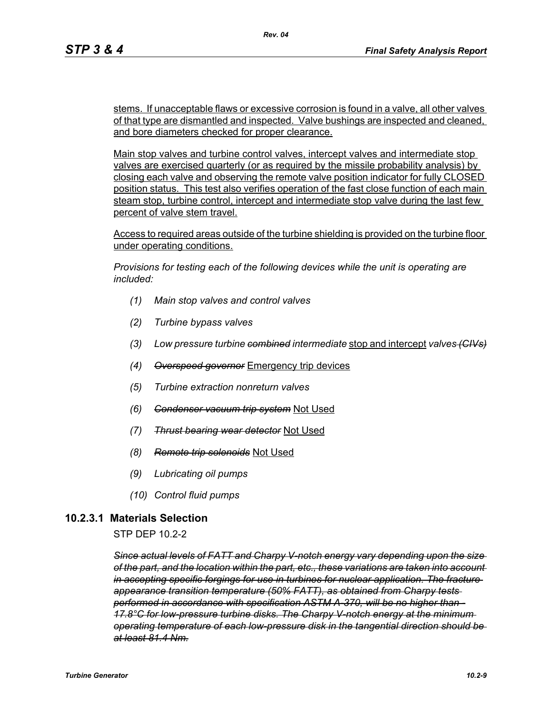stems. If unacceptable flaws or excessive corrosion is found in a valve, all other valves of that type are dismantled and inspected. Valve bushings are inspected and cleaned, and bore diameters checked for proper clearance.

Main stop valves and turbine control valves, intercept valves and intermediate stop valves are exercised quarterly (or as required by the missile probability analysis) by closing each valve and observing the remote valve position indicator for fully CLOSED position status. This test also verifies operation of the fast close function of each main steam stop, turbine control, intercept and intermediate stop valve during the last few percent of valve stem travel.

Access to required areas outside of the turbine shielding is provided on the turbine floor under operating conditions.

*Provisions for testing each of the following devices while the unit is operating are included:*

- *(1) Main stop valves and control valves*
- *(2) Turbine bypass valves*
- *(3) Low pressure turbine combined intermediate* stop and intercept *valves (CIVs)*
- *(4) Overspeed governor* Emergency trip devices
- *(5) Turbine extraction nonreturn valves*
- *(6) Condenser vacuum trip system* Not Used
- *(7) Thrust bearing wear detector* Not Used
- *(8) Remote trip solenoids* Not Used
- *(9) Lubricating oil pumps*
- *(10) Control fluid pumps*

### **10.2.3.1 Materials Selection**

STP DEP 10.2-2

*Since actual levels of FATT and Charpy V-notch energy vary depending upon the size of the part, and the location within the part, etc., these variations are taken into account in accepting specific forgings for use in turbines for nuclear application. The fracture appearance transition temperature (50% FATT), as obtained from Charpy tests performed in accordance with specification ASTM A-370, will be no higher than - 17.8°C for low-pressure turbine disks. The Charpy V-notch energy at the minimum operating temperature of each low-pressure disk in the tangential direction should be at least 81.4 Nm.*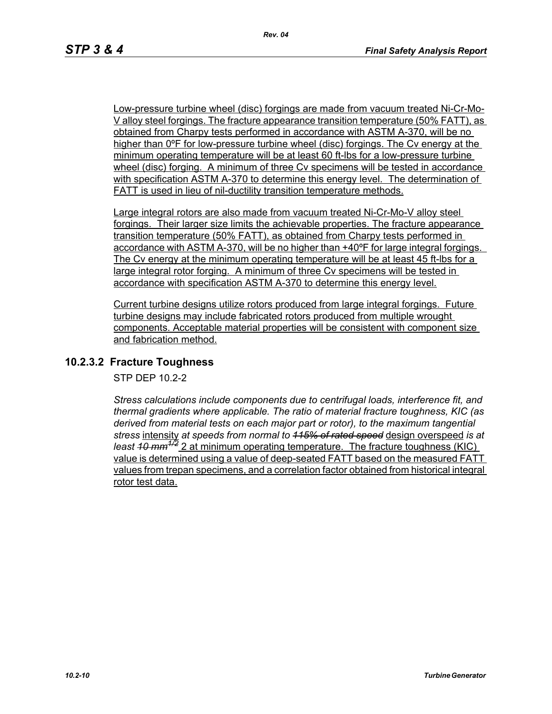Low-pressure turbine wheel (disc) forgings are made from vacuum treated Ni-Cr-Mo-V alloy steel forgings. The fracture appearance transition temperature (50% FATT), as obtained from Charpy tests performed in accordance with ASTM A-370, will be no higher than 0ºF for low-pressure turbine wheel (disc) forgings. The Cv energy at the minimum operating temperature will be at least 60 ft-lbs for a low-pressure turbine wheel (disc) forging. A minimum of three Cv specimens will be tested in accordance with specification ASTM A-370 to determine this energy level. The determination of FATT is used in lieu of nil-ductility transition temperature methods.

Large integral rotors are also made from vacuum treated Ni-Cr-Mo-V alloy steel forgings. Their larger size limits the achievable properties. The fracture appearance transition temperature (50% FATT), as obtained from Charpy tests performed in accordance with ASTM A-370, will be no higher than +40ºF for large integral forgings. The Cv energy at the minimum operating temperature will be at least 45 ft-lbs for a large integral rotor forging. A minimum of three Cv specimens will be tested in accordance with specification ASTM A-370 to determine this energy level.

Current turbine designs utilize rotors produced from large integral forgings. Future turbine designs may include fabricated rotors produced from multiple wrought components. Acceptable material properties will be consistent with component size and fabrication method.

### **10.2.3.2 Fracture Toughness**

STP DEP 10.2-2

*Stress calculations include components due to centrifugal loads, interference fit, and thermal gradients where applicable. The ratio of material fracture toughness, KIC (as derived from material tests on each major part or rotor), to the maximum tangential stress* intensity *at speeds from normal to 115% of rated speed* design overspeed *is at least 40 mm<sup>4/2</sup> 2 at minimum operating temperature. The fracture toughness (KIC)* value is determined using a value of deep-seated FATT based on the measured FATT values from trepan specimens, and a correlation factor obtained from historical integral rotor test data.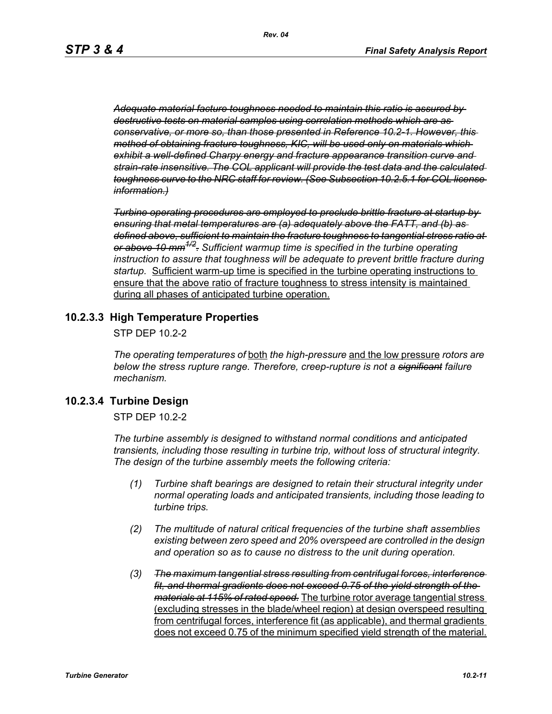*Adequate material facture toughness needed to maintain this ratio is assured by destructive tests on material samples using correlation methods which are as conservative, or more so, than those presented in Reference 10.2-1. However, this method of obtaining fracture toughness, KIC, will be used only on materials which exhibit a well-defined Charpy energy and fracture appearance transition curve and strain-rate insensitive. The COL applicant will provide the test data and the calculated toughness curve to the NRC staff for review. (See Subsection 10.2.5.1 for COL license information.)*

*Turbine operating procedures are employed to preclude brittle fracture at startup by ensuring that metal temperatures are (a) adequately above the FATT, and (b) as defined above, sufficient to maintain the fracture toughness to tangential stress ratio at or above 10 mm1/2. Sufficient warmup time is specified in the turbine operating instruction to assure that toughness will be adequate to prevent brittle fracture during startup.* Sufficient warm-up time is specified in the turbine operating instructions to ensure that the above ratio of fracture toughness to stress intensity is maintained during all phases of anticipated turbine operation.

### **10.2.3.3 High Temperature Properties**

STP DEP 10.2-2

*The operating temperatures of* both *the high-pressure* and the low pressure *rotors are below the stress rupture range. Therefore, creep-rupture is not a significant failure mechanism.* 

### **10.2.3.4 Turbine Design**

STP DEP 10.2-2

*The turbine assembly is designed to withstand normal conditions and anticipated transients, including those resulting in turbine trip, without loss of structural integrity. The design of the turbine assembly meets the following criteria:* 

- *(1) Turbine shaft bearings are designed to retain their structural integrity under normal operating loads and anticipated transients, including those leading to turbine trips.*
- *(2) The multitude of natural critical frequencies of the turbine shaft assemblies existing between zero speed and 20% overspeed are controlled in the design and operation so as to cause no distress to the unit during operation.*
- *(3) The maximum tangential stress resulting from centrifugal forces, interference fit, and thermal gradients does not exceed 0.75 of the yield strength of the materials at 115% of rated speed.* The turbine rotor average tangential stress (excluding stresses in the blade/wheel region) at design overspeed resulting from centrifugal forces, interference fit (as applicable), and thermal gradients does not exceed 0.75 of the minimum specified yield strength of the material.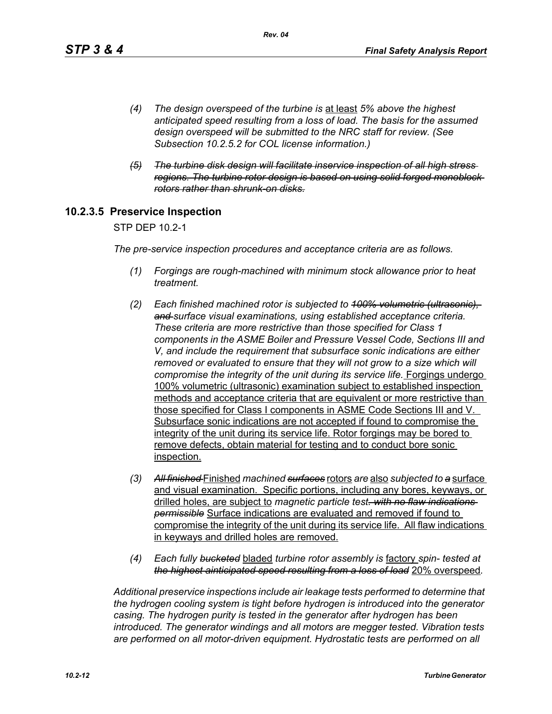- *(4) The design overspeed of the turbine is* at least *5% above the highest anticipated speed resulting from a loss of load. The basis for the assumed design overspeed will be submitted to the NRC staff for review. (See Subsection 10.2.5.2 for COL license information.)*
- *(5) The turbine disk design will facilitate inservice inspection of all high stress regions. The turbine rotor design is based on using solid forged monoblock rotors rather than shrunk-on disks.*

### **10.2.3.5 Preservice Inspection**

STP DEP 10.2-1

*The pre-service inspection procedures and acceptance criteria are as follows.*

- *(1) Forgings are rough-machined with minimum stock allowance prior to heat treatment.*
- *(2) Each finished machined rotor is subjected to 100% volumetric (ultrasonic), and surface visual examinations, using established acceptance criteria. These criteria are more restrictive than those specified for Class 1 components in the ASME Boiler and Pressure Vessel Code, Sections III and V, and include the requirement that subsurface sonic indications are either removed or evaluated to ensure that they will not grow to a size which will compromise the integrity of the unit during its service life.* Forgings undergo 100% volumetric (ultrasonic) examination subject to established inspection methods and acceptance criteria that are equivalent or more restrictive than those specified for Class I components in ASME Code Sections III and V. Subsurface sonic indications are not accepted if found to compromise the integrity of the unit during its service life. Rotor forgings may be bored to remove defects, obtain material for testing and to conduct bore sonic inspection.
- *(3) All finished* Finished *machined surfaces* rotors *are* also *subjected to a* surface and visual examination. Specific portions, including any bores, keyways, or drilled holes, are subject to *magnetic particle test. with no flaw indications permissible* Surface indications are evaluated and removed if found to compromise the integrity of the unit during its service life. All flaw indications in keyways and drilled holes are removed.
- *(4) Each fully bucketed* bladed *turbine rotor assembly is* factory *spin- tested at the highest ainticipated speed resulting from a loss of load* 20% overspeed*.*

*Additional preservice inspections include air leakage tests performed to determine that the hydrogen cooling system is tight before hydrogen is introduced into the generator casing. The hydrogen purity is tested in the generator after hydrogen has been introduced. The generator windings and all motors are megger tested. Vibration tests are performed on all motor-driven equipment. Hydrostatic tests are performed on all*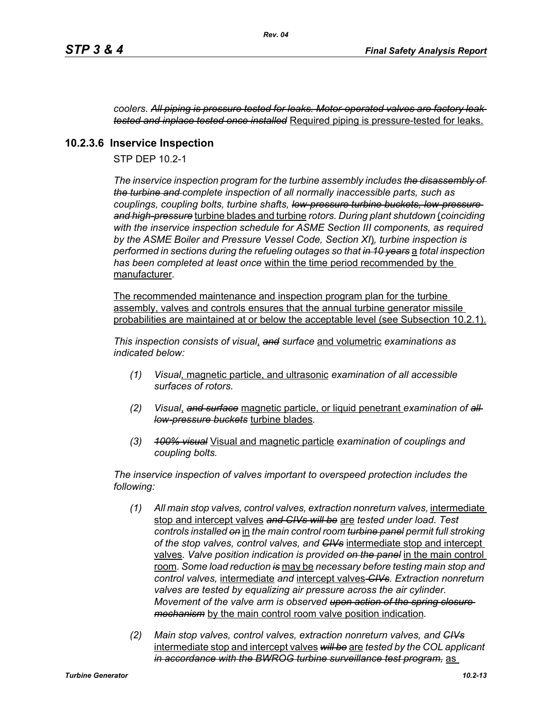*coolers. All piping is pressure tested for leaks. Motor-operated valves are factory leak tested and inplace tested once installed* Required piping is pressure-tested for leaks.

### **10.2.3.6 Inservice Inspection**

STP DEP 10.2-1

*The inservice inspection program for the turbine assembly includes the disassembly of the turbine and complete inspection of all normally inaccessible parts, such as couplings, coupling bolts, turbine shafts, low-pressure turbine buckets, low-pressure and high-pressure* turbine blades and turbine *rotors. During plant shutdown* (*coinciding with the inservice inspection schedule for ASME Section III components, as required by the ASME Boiler and Pressure Vessel Code, Section XI*)*, turbine inspection is performed in sections during the refueling outages so that in 10 years* a *total inspection has been completed at least once* within the time period recommended by the manufacturer*.* 

The recommended maintenance and inspection program plan for the turbine assembly, valves and controls ensures that the annual turbine generator missile probabilities are maintained at or below the acceptable level (see Subsection 10.2.1).

*This inspection consists of visual*, *and surface* and volumetric *examinations as indicated below:*

- *(1) Visual,* magnetic particle, and ultrasonic *examination of all accessible surfaces of rotors.*
- *(2) Visual*, *and surface* magnetic particle, or liquid penetrant *examination of all low-pressure buckets* turbine blades*.*
- *(3) 100% visual* Visual and magnetic particle *examination of couplings and coupling bolts.*

*The inservice inspection of valves important to overspeed protection includes the following:*

- *(1) All main stop valves, control valves, extraction nonreturn valves,* intermediate stop and intercept valves *and CIVs will be* are *tested under load. Test controls installed on* in *the main control room turbine panel permit full stroking of the stop valves, control valves, and CIVs* intermediate stop and intercept valves*. Valve position indication is provided on the panel* in the main control room*. Some load reduction is* may be *necessary before testing main stop and control valves,* intermediate *and* intercept valves *CIVs. Extraction nonreturn valves are tested by equalizing air pressure across the air cylinder. Movement of the valve arm is observed upon action of the spring closure mechanism* by the main control room valve position indication*.*
- *(2) Main stop valves, control valves, extraction nonreturn valves, and CIVs* intermediate stop and intercept valves *will be* are *tested by the COL applicant in accordance with the BWROG turbine surveillance test program,* as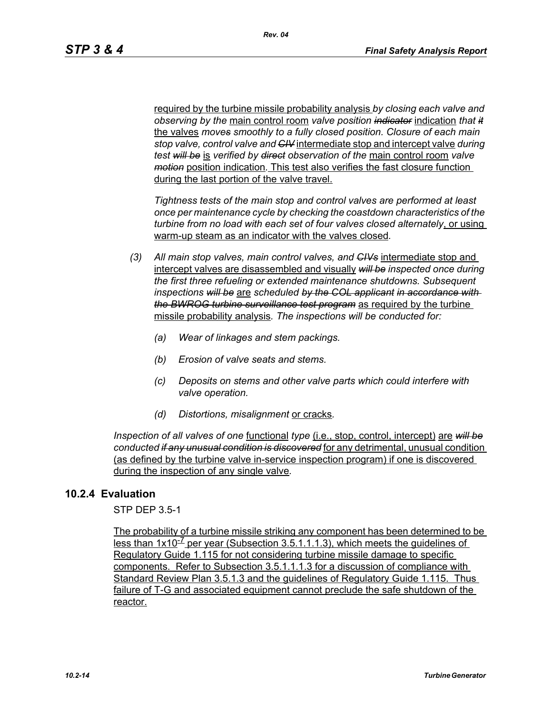required by the turbine missile probability analysis *by closing each valve and observing by the* main control room *valve position indicator* indication *that it* the valves *moves smoothly to a fully closed position. Closure of each main stop valve, control valve and CIV* intermediate stop and intercept valve *during test will be* is *verified by direct observation of the* main control room *valve motion* position indication*.* This test also verifies the fast closure function during the last portion of the valve travel.

*Tightness tests of the main stop and control valves are performed at least once per maintenance cycle by checking the coastdown characteristics of the turbine from no load with each set of four valves closed alternately*, or using warm-up steam as an indicator with the valves closed*.* 

- *(3) All main stop valves, main control valves, and CIVs* intermediate stop and intercept valves are disassembled and visually *will be inspected once during the first three refueling or extended maintenance shutdowns. Subsequent inspections will be* are *scheduled by the COL applicant in accordance with the BWROG turbine surveillance test program* as required by the turbine missile probability analysis*. The inspections will be conducted for:* 
	- *(a) Wear of linkages and stem packings.*
	- *(b) Erosion of valve seats and stems.*
	- *(c) Deposits on stems and other valve parts which could interfere with valve operation.*
	- *(d) Distortions, misalignment* or cracks*.*

*Inspection of all valves of one* functional *type* (i.e., stop, control, intercept) are *will be conducted if any unusual condition is discovered* for any detrimental, unusual condition (as defined by the turbine valve in-service inspection program) if one is discovered during the inspection of any single valve*.*

### **10.2.4 Evaluation**

STP DEP 3.5-1

The probability of a turbine missile striking any component has been determined to be less than  $1x10^{-7}$  per year (Subsection 3.5.1.1.1.3), which meets the quidelines of Regulatory Guide 1.115 for not considering turbine missile damage to specific components. Refer to Subsection 3.5.1.1.1.3 for a discussion of compliance with Standard Review Plan 3.5.1.3 and the guidelines of Regulatory Guide 1.115. Thus failure of T-G and associated equipment cannot preclude the safe shutdown of the reactor.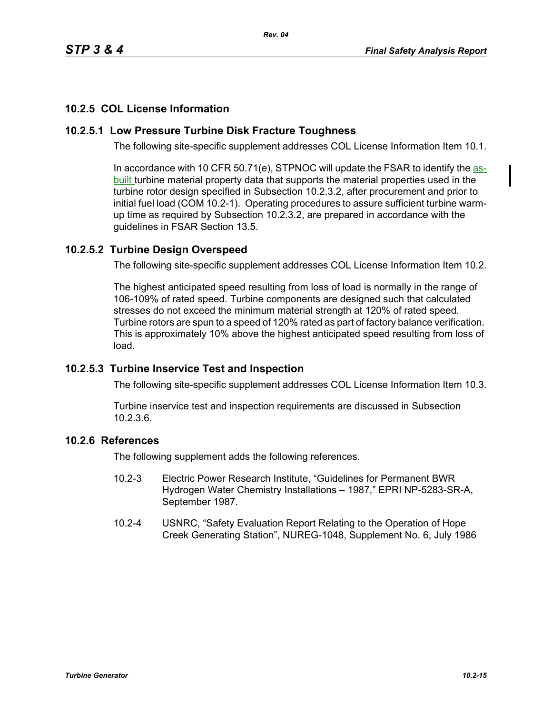# **10.2.5 COL License Information**

# **10.2.5.1 Low Pressure Turbine Disk Fracture Toughness**

The following site-specific supplement addresses COL License Information Item 10.1.

In accordance with 10 CFR 50.71(e), STPNOC will update the FSAR to identify the  $aS$ built turbine material property data that supports the material properties used in the turbine rotor design specified in Subsection 10.2.3.2, after procurement and prior to initial fuel load (COM 10.2-1). Operating procedures to assure sufficient turbine warmup time as required by Subsection 10.2.3.2, are prepared in accordance with the guidelines in FSAR Section 13.5.

### **10.2.5.2 Turbine Design Overspeed**

The following site-specific supplement addresses COL License Information Item 10.2.

The highest anticipated speed resulting from loss of load is normally in the range of 106-109% of rated speed. Turbine components are designed such that calculated stresses do not exceed the minimum material strength at 120% of rated speed. Turbine rotors are spun to a speed of 120% rated as part of factory balance verification. This is approximately 10% above the highest anticipated speed resulting from loss of load.

### **10.2.5.3 Turbine Inservice Test and Inspection**

The following site-specific supplement addresses COL License Information Item 10.3.

Turbine inservice test and inspection requirements are discussed in Subsection 10.2.3.6.

### **10.2.6 References**

The following supplement adds the following references.

- 10.2-3 Electric Power Research Institute, "Guidelines for Permanent BWR Hydrogen Water Chemistry Installations – 1987," EPRI NP-5283-SR-A, September 1987.
- 10.2-4 USNRC, "Safety Evaluation Report Relating to the Operation of Hope Creek Generating Station", NUREG-1048, Supplement No. 6, July 1986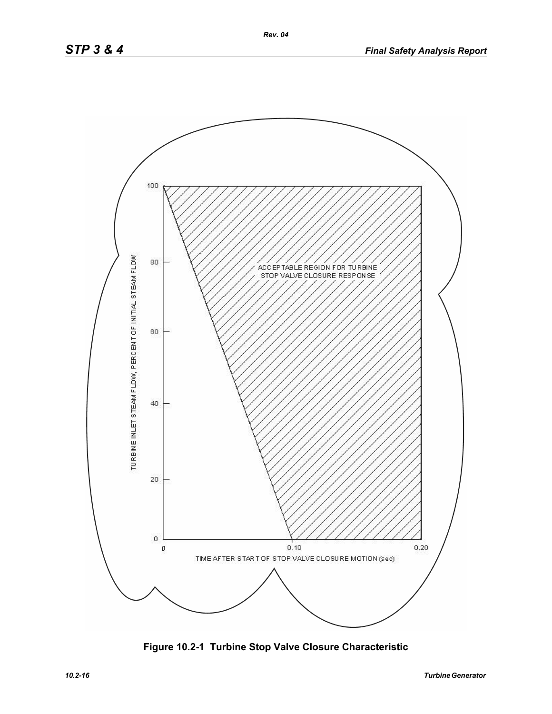

**Figure 10.2-1 Turbine Stop Valve Closure Characteristic**